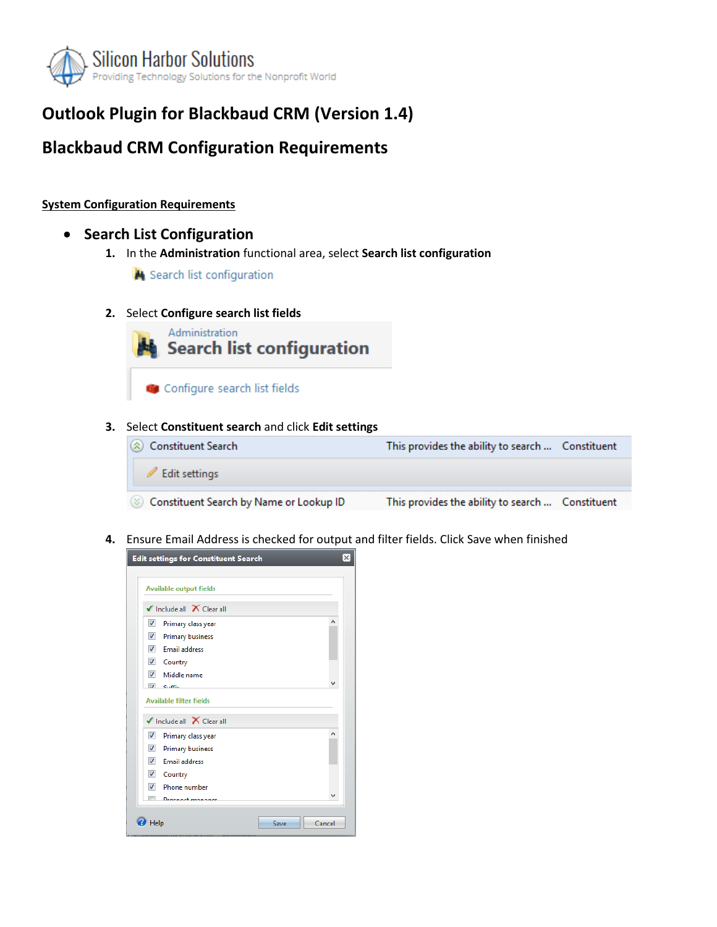

# **Outlook Plugin for Blackbaud CRM (Version 1.4)**

## **Blackbaud CRM Configuration Requirements**

#### **System Configuration Requirements**

### • **Search List Configuration**

**1.** In the **Administration** functional area, select **Search list configuration**

Search list configuration

#### **2.** Select **Configure search list fields**



#### **3.** Select **Constituent search** and click **Edit settings**

| $\langle \hat{\mathbf{x}} \rangle$ Constituent Search | This provides the ability to search  Constituent |
|-------------------------------------------------------|--------------------------------------------------|
| Edit settings                                         |                                                  |
| Constituent Search by Name or Lookup ID               | This provides the ability to search  Constituent |

**4.** Ensure Email Address is checked for output and filter fields. Click Save when finished

| <b>Edit settings for Constituent Search</b>         | $\times$ |
|-----------------------------------------------------|----------|
|                                                     |          |
| <b>Available output fields</b>                      |          |
| $\checkmark$ Include all $\checkmark$ Clear all     |          |
| ⊽<br>Primary class year                             | ^        |
| $\overline{\mathcal{A}}$<br><b>Primary business</b> |          |
| $\overline{J}$<br><b>Email address</b>              |          |
| V Country                                           |          |
| $\overline{\mathcal{A}}$<br>Middle name             |          |
| $\overline{a}$<br>$C_{11}$ . EE <sub>ine</sub>      | v        |
| <b>Available filter fields</b>                      |          |
| $\checkmark$ Include all $\checkmark$ Clear all     |          |
| $\overline{v}$<br>Primary class year                | ∧        |
| $\overline{v}$<br><b>Primary business</b>           |          |
| $\overline{\mathcal{A}}$<br><b>Email address</b>    |          |
| $\sqrt{}$<br>Country                                |          |
| $\overline{v}$<br>Phone number                      |          |
| m<br><b>Drachart manager</b>                        | v        |
|                                                     |          |
| Help<br>Save                                        | Cancel   |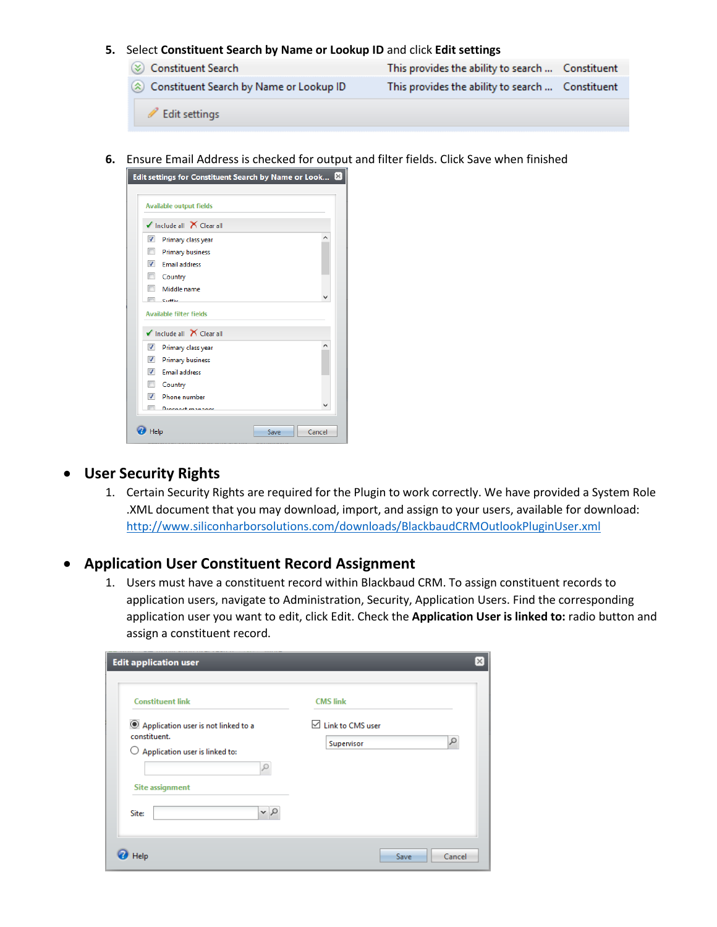#### **5.** Select **Constituent Search by Name or Lookup ID** and click **Edit settings**

- Constituent Search This provides the ability to search ... Constituent Constituent Search by Name or Lookup ID This provides the ability to search ... Constituent Bit settings
- **6.** Ensure Email Address is checked for output and filter fields. Click Save when finished

| Edit settings for Constituent Search by Name or Look $\boxtimes$ |      |        |
|------------------------------------------------------------------|------|--------|
| <b>Available output fields</b>                                   |      |        |
| $\checkmark$ Include all $\checkmark$ Clear all                  |      |        |
| $\overline{\mathbf{v}}$<br>Primary class year                    |      | Α      |
| $\blacksquare$<br><b>Primary business</b>                        |      |        |
| $\overline{v}$<br><b>Email address</b>                           |      |        |
| Country                                                          |      |        |
| Middle name                                                      |      |        |
| ▬<br>$C_1$ . $C_2$                                               |      |        |
| <b>Available filter fields</b>                                   |      |        |
| $\checkmark$ Include all $\checkmark$ Clear all                  |      |        |
| $\overline{\mathcal{A}}$<br>Primary class year                   |      | ۸      |
| $\overline{\mathcal{A}}$<br><b>Primary business</b>              |      |        |
| $\overline{J}$<br><b>Email address</b>                           |      |        |
| П<br>Country                                                     |      |        |
| $\overline{\mathbf{v}}$<br>Phone number                          |      |        |
| $\equiv$<br><b>Drachart managers</b>                             |      |        |
|                                                                  |      |        |
| Help                                                             | Save | Cancel |

#### • **User Security Rights**

1. Certain Security Rights are required for the Plugin to work correctly. We have provided a System Role .XML document that you may download, import, and assign to your users, available for download: <http://www.siliconharborsolutions.com/downloads/BlackbaudCRMOutlookPluginUser.xml>

#### • **Application User Constituent Record Assignment**

1. Users must have a constituent record within Blackbaud CRM. To assign constituent records to application users, navigate to Administration, Security, Application Users. Find the corresponding application user you want to edit, click Edit. Check the **Application User is linked to:** radio button and assign a constituent record.

| <b>Edit application user</b>                                                                                                                                         | ×                                                           |
|----------------------------------------------------------------------------------------------------------------------------------------------------------------------|-------------------------------------------------------------|
| <b>Constituent link</b><br>Application user is not linked to a<br>constituent.<br>Application user is linked to:<br>O<br><b>Site assignment</b><br>$\sim$ 0<br>Site: | <b>CMS link</b><br>$\boxdot$ Link to CMS user<br>Supervisor |
| Help                                                                                                                                                                 | Save<br>Cancel                                              |